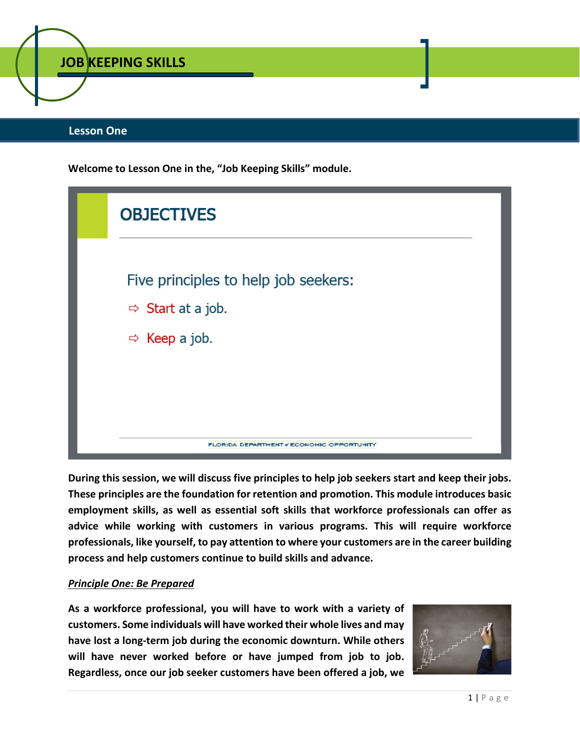

## **Lesson One**

**Welcome to Lesson One in the, "Job Keeping Skills" module.**



**During this session, we will discuss five principles to help job seekers start and keep their jobs. These principles are the foundation for retention and promotion. This module introduces basic employment skills, as well as essential soft skills that workforce professionals can offer as advice while working with customers in various programs. This will require workforce professionals, like yourself, to pay attention to where your customers are in the career building process and help customers continue to build skills and advance.** 

#### *Principle One: Be Prepared*

**As a workforce professional, you will have to work with a variety of customers. Some individuals will have worked their whole lives and may have lost a long-term job during the economic downturn. While others will have never worked before or have jumped from job to job. Regardless, once our job seeker customers have been offered a job, we** 

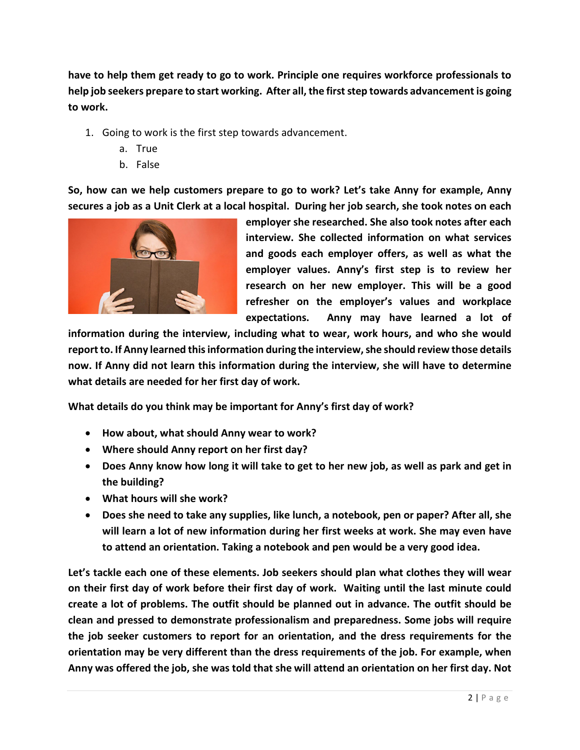**have to help them get ready to go to work. Principle one requires workforce professionals to help job seekers prepare to start working. After all, the first step towards advancement is going to work.** 

- 1. Going to work is the first step towards advancement.
	- a. True
	- b. False

**So, how can we help customers prepare to go to work? Let's take Anny for example, Anny secures a job as a Unit Clerk at a local hospital. During her job search, she took notes on each** 



**employer she researched. She also took notes after each interview. She collected information on what services and goods each employer offers, as well as what the employer values. Anny's first step is to review her research on her new employer. This will be a good refresher on the employer's values and workplace expectations. Anny may have learned a lot of** 

**information during the interview, including what to wear, work hours, and who she would report to. If Anny learned this information during the interview, she should review those details now. If Anny did not learn this information during the interview, she will have to determine what details are needed for her first day of work.** 

**What details do you think may be important for Anny's first day of work?** 

- **How about, what should Anny wear to work?**
- **Where should Anny report on her first day?**
- **Does Anny know how long it will take to get to her new job, as well as park and get in the building?**
- **What hours will she work?**
- **Does she need to take any supplies, like lunch, a notebook, pen or paper? After all, she will learn a lot of new information during her first weeks at work. She may even have to attend an orientation. Taking a notebook and pen would be a very good idea.**

**Let's tackle each one of these elements. Job seekers should plan what clothes they will wear on their first day of work before their first day of work. Waiting until the last minute could create a lot of problems. The outfit should be planned out in advance. The outfit should be clean and pressed to demonstrate professionalism and preparedness. Some jobs will require the job seeker customers to report for an orientation, and the dress requirements for the orientation may be very different than the dress requirements of the job. For example, when Anny was offered the job, she was told that she will attend an orientation on her first day. Not**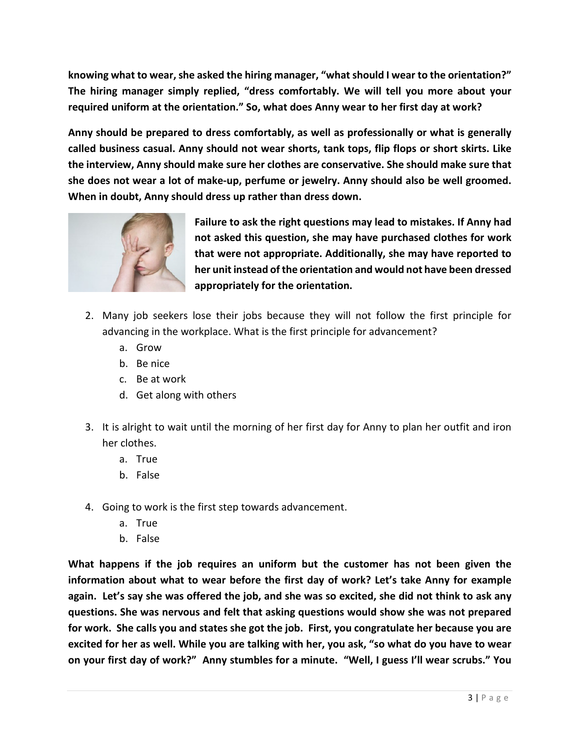**knowing what to wear, she asked the hiring manager, "what should I wear to the orientation?" The hiring manager simply replied, "dress comfortably. We will tell you more about your required uniform at the orientation." So, what does Anny wear to her first day at work?**

**Anny should be prepared to dress comfortably, as well as professionally or what is generally called business casual. Anny should not wear shorts, tank tops, flip flops or short skirts. Like the interview, Anny should make sure her clothes are conservative. She should make sure that she does not wear a lot of make-up, perfume or jewelry. Anny should also be well groomed. When in doubt, Anny should dress up rather than dress down.** 



**Failure to ask the right questions may lead to mistakes. If Anny had not asked this question, she may have purchased clothes for work that were not appropriate. Additionally, she may have reported to her unit instead of the orientation and would not have been dressed appropriately for the orientation.** 

- 2. Many job seekers lose their jobs because they will not follow the first principle for advancing in the workplace. What is the first principle for advancement?
	- a. Grow
	- b. Be nice
	- c. Be at work
	- d. Get along with others
- 3. It is alright to wait until the morning of her first day for Anny to plan her outfit and iron her clothes.
	- a. True
	- b. False
- 4. Going to work is the first step towards advancement.
	- a. True
	- b. False

**What happens if the job requires an uniform but the customer has not been given the information about what to wear before the first day of work? Let's take Anny for example again. Let's say she was offered the job, and she was so excited, she did not think to ask any questions. She was nervous and felt that asking questions would show she was not prepared for work. She calls you and states she got the job. First, you congratulate her because you are excited for her as well. While you are talking with her, you ask, "so what do you have to wear on your first day of work?" Anny stumbles for a minute. "Well, I guess I'll wear scrubs." You**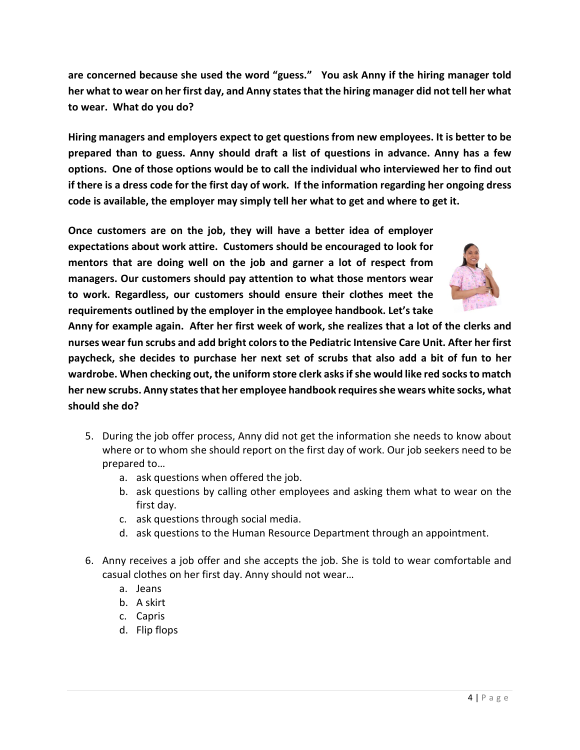**are concerned because she used the word "guess." You ask Anny if the hiring manager told her what to wear on her first day, and Anny states that the hiring manager did not tell her what to wear. What do you do?**

**Hiring managers and employers expect to get questions from new employees. It is better to be prepared than to guess. Anny should draft a list of questions in advance. Anny has a few options. One of those options would be to call the individual who interviewed her to find out if there is a dress code for the first day of work. If the information regarding her ongoing dress code is available, the employer may simply tell her what to get and where to get it.**

**Once customers are on the job, they will have a better idea of employer expectations about work attire. Customers should be encouraged to look for mentors that are doing well on the job and garner a lot of respect from managers. Our customers should pay attention to what those mentors wear to work. Regardless, our customers should ensure their clothes meet the requirements outlined by the employer in the employee handbook. Let's take** 



**Anny for example again. After her first week of work, she realizes that a lot of the clerks and nurses wear fun scrubs and add bright colors to the Pediatric Intensive Care Unit. After her first paycheck, she decides to purchase her next set of scrubs that also add a bit of fun to her wardrobe. When checking out, the uniform store clerk asks if she would like red socks to match her new scrubs. Anny states that her employee handbook requires she wears white socks, what should she do?**

- 5. During the job offer process, Anny did not get the information she needs to know about where or to whom she should report on the first day of work. Our job seekers need to be prepared to…
	- a. ask questions when offered the job.
	- b. ask questions by calling other employees and asking them what to wear on the first day.
	- c. ask questions through social media.
	- d. ask questions to the Human Resource Department through an appointment.
- 6. Anny receives a job offer and she accepts the job. She is told to wear comfortable and casual clothes on her first day. Anny should not wear…
	- a. Jeans
	- b. A skirt
	- c. Capris
	- d. Flip flops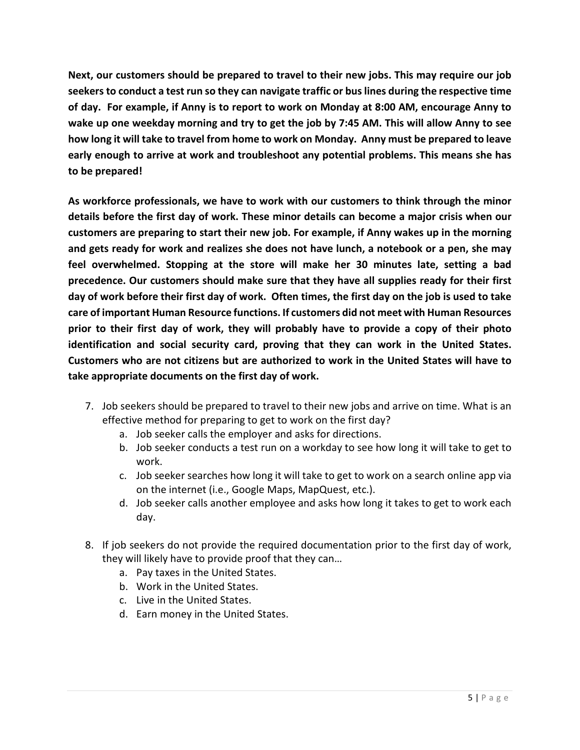**Next, our customers should be prepared to travel to their new jobs. This may require our job seekers to conduct a test run so they can navigate traffic or bus lines during the respective time of day. For example, if Anny is to report to work on Monday at 8:00 AM, encourage Anny to wake up one weekday morning and try to get the job by 7:45 AM. This will allow Anny to see how long it will take to travel from home to work on Monday. Anny must be prepared to leave early enough to arrive at work and troubleshoot any potential problems. This means she has to be prepared!**

**As workforce professionals, we have to work with our customers to think through the minor details before the first day of work. These minor details can become a major crisis when our customers are preparing to start their new job. For example, if Anny wakes up in the morning and gets ready for work and realizes she does not have lunch, a notebook or a pen, she may feel overwhelmed. Stopping at the store will make her 30 minutes late, setting a bad precedence. Our customers should make sure that they have all supplies ready for their first day of work before their first day of work. Often times, the first day on the job is used to take care of important Human Resource functions. If customers did not meet with Human Resources prior to their first day of work, they will probably have to provide a copy of their photo identification and social security card, proving that they can work in the United States. Customers who are not citizens but are authorized to work in the United States will have to take appropriate documents on the first day of work.**

- 7. Job seekers should be prepared to travel to their new jobs and arrive on time. What is an effective method for preparing to get to work on the first day?
	- a. Job seeker calls the employer and asks for directions.
	- b. Job seeker conducts a test run on a workday to see how long it will take to get to work.
	- c. Job seeker searches how long it will take to get to work on a search online app via on the internet (i.e., Google Maps, MapQuest, etc.).
	- d. Job seeker calls another employee and asks how long it takes to get to work each day.
- 8. If job seekers do not provide the required documentation prior to the first day of work, they will likely have to provide proof that they can…
	- a. Pay taxes in the United States.
	- b. Work in the United States.
	- c. Live in the United States.
	- d. Earn money in the United States.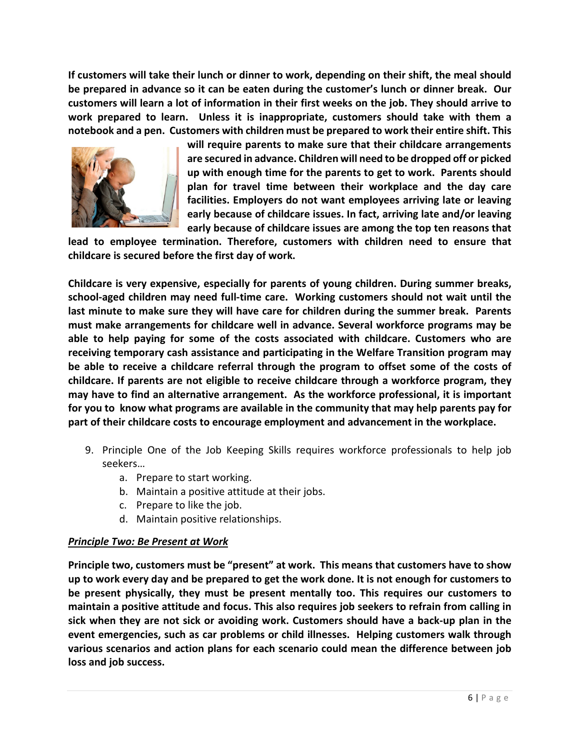**If customers will take their lunch or dinner to work, depending on their shift, the meal should be prepared in advance so it can be eaten during the customer's lunch or dinner break. Our customers will learn a lot of information in their first weeks on the job. They should arrive to work prepared to learn. Unless it is inappropriate, customers should take with them a notebook and a pen. Customers with children must be prepared to work their entire shift. This** 



**will require parents to make sure that their childcare arrangements are secured in advance. Children will need to be dropped off or picked up with enough time for the parents to get to work. Parents should plan for travel time between their workplace and the day care facilities. Employers do not want employees arriving late or leaving early because of childcare issues. In fact, arriving late and/or leaving early because of childcare issues are among the top ten reasons that** 

**lead to employee termination. Therefore, customers with children need to ensure that childcare is secured before the first day of work.** 

**Childcare is very expensive, especially for parents of young children. During summer breaks, school-aged children may need full-time care. Working customers should not wait until the last minute to make sure they will have care for children during the summer break. Parents must make arrangements for childcare well in advance. Several workforce programs may be able to help paying for some of the costs associated with childcare. Customers who are receiving temporary cash assistance and participating in the Welfare Transition program may be able to receive a childcare referral through the program to offset some of the costs of childcare. If parents are not eligible to receive childcare through a workforce program, they may have to find an alternative arrangement. As the workforce professional, it is important for you to know what programs are available in the community that may help parents pay for part of their childcare costs to encourage employment and advancement in the workplace.** 

- 9. Principle One of the Job Keeping Skills requires workforce professionals to help job seekers…
	- a. Prepare to start working.
	- b. Maintain a positive attitude at their jobs.
	- c. Prepare to like the job.
	- d. Maintain positive relationships.

## *Principle Two: Be Present at Work*

**Principle two, customers must be "present" at work. This means that customers have to show up to work every day and be prepared to get the work done. It is not enough for customers to be present physically, they must be present mentally too. This requires our customers to maintain a positive attitude and focus. This also requires job seekers to refrain from calling in sick when they are not sick or avoiding work. Customers should have a back-up plan in the event emergencies, such as car problems or child illnesses. Helping customers walk through various scenarios and action plans for each scenario could mean the difference between job loss and job success.**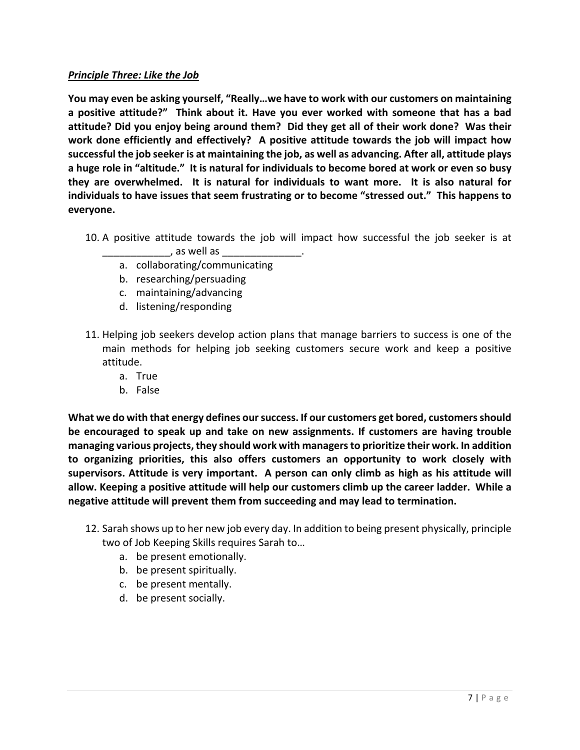## *Principle Three: Like the Job*

**You may even be asking yourself, "Really…we have to work with our customers on maintaining a positive attitude?" Think about it. Have you ever worked with someone that has a bad attitude? Did you enjoy being around them? Did they get all of their work done? Was their work done efficiently and effectively? A positive attitude towards the job will impact how successful the job seeker is at maintaining the job, as well as advancing. After all, attitude plays a huge role in "altitude." It is natural for individuals to become bored at work or even so busy they are overwhelmed. It is natural for individuals to want more. It is also natural for individuals to have issues that seem frustrating or to become "stressed out." This happens to everyone.**

- 10. A positive attitude towards the job will impact how successful the job seeker is at \_\_\_\_\_\_\_\_\_\_\_\_, as well as \_\_\_\_\_\_\_\_\_\_\_\_\_\_.
	- a. collaborating/communicating
	- b. researching/persuading
	- c. maintaining/advancing
	- d. listening/responding
- 11. Helping job seekers develop action plans that manage barriers to success is one of the main methods for helping job seeking customers secure work and keep a positive attitude.
	- a. True
	- b. False

**What we do with that energy defines our success. If our customers get bored, customers should be encouraged to speak up and take on new assignments. If customers are having trouble managing various projects, they should work with managers to prioritize their work. In addition to organizing priorities, this also offers customers an opportunity to work closely with supervisors. Attitude is very important. A person can only climb as high as his attitude will allow. Keeping a positive attitude will help our customers climb up the career ladder. While a negative attitude will prevent them from succeeding and may lead to termination.** 

- 12. Sarah shows up to her new job every day. In addition to being present physically, principle two of Job Keeping Skills requires Sarah to…
	- a. be present emotionally.
	- b. be present spiritually.
	- c. be present mentally.
	- d. be present socially.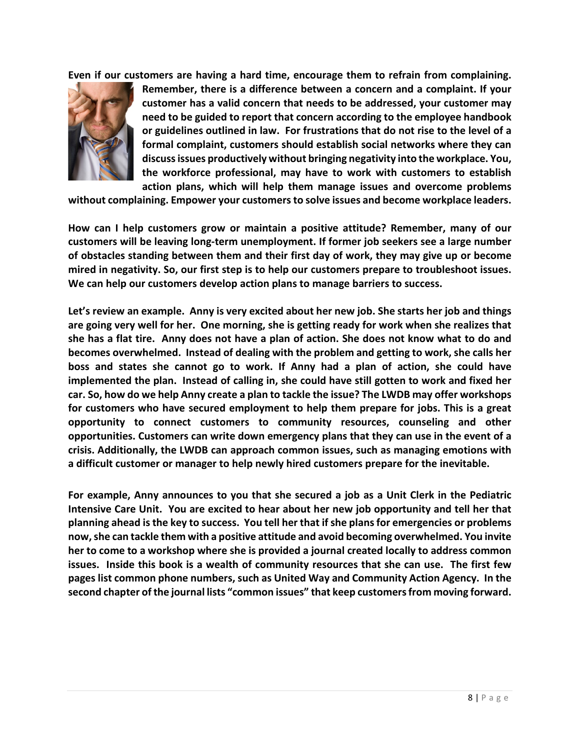**Even if our customers are having a hard time, encourage them to refrain from complaining.** 



**Remember, there is a difference between a concern and a complaint. If your customer has a valid concern that needs to be addressed, your customer may need to be guided to report that concern according to the employee handbook or guidelines outlined in law. For frustrations that do not rise to the level of a formal complaint, customers should establish social networks where they can discuss issues productively without bringing negativity into the workplace. You, the workforce professional, may have to work with customers to establish action plans, which will help them manage issues and overcome problems** 

**without complaining. Empower your customers to solve issues and become workplace leaders.** 

**How can I help customers grow or maintain a positive attitude? Remember, many of our customers will be leaving long-term unemployment. If former job seekers see a large number of obstacles standing between them and their first day of work, they may give up or become mired in negativity. So, our first step is to help our customers prepare to troubleshoot issues. We can help our customers develop action plans to manage barriers to success.** 

**Let's review an example. Anny is very excited about her new job. She starts her job and things are going very well for her. One morning, she is getting ready for work when she realizes that she has a flat tire. Anny does not have a plan of action. She does not know what to do and becomes overwhelmed. Instead of dealing with the problem and getting to work, she calls her boss and states she cannot go to work. If Anny had a plan of action, she could have implemented the plan. Instead of calling in, she could have still gotten to work and fixed her car. So, how do we help Anny create a plan to tackle the issue? The LWDB may offer workshops for customers who have secured employment to help them prepare for jobs. This is a great opportunity to connect customers to community resources, counseling and other opportunities. Customers can write down emergency plans that they can use in the event of a crisis. Additionally, the LWDB can approach common issues, such as managing emotions with a difficult customer or manager to help newly hired customers prepare for the inevitable.**

**For example, Anny announces to you that she secured a job as a Unit Clerk in the Pediatric Intensive Care Unit. You are excited to hear about her new job opportunity and tell her that planning ahead is the key to success. You tell her that if she plans for emergencies or problems now, she can tackle them with a positive attitude and avoid becoming overwhelmed. You invite her to come to a workshop where she is provided a journal created locally to address common issues. Inside this book is a wealth of community resources that she can use. The first few pages list common phone numbers, such as United Way and Community Action Agency. In the second chapter of the journal lists "common issues" that keep customers from moving forward.**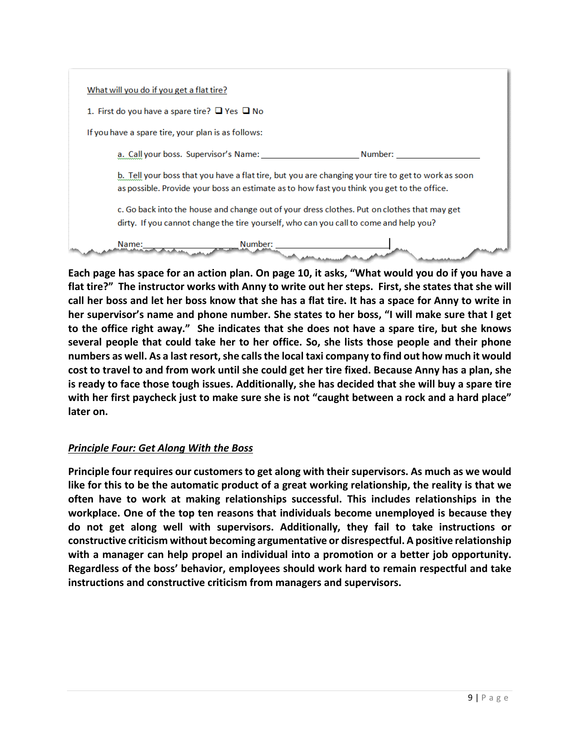| What will you do if you get a flat tire?                |                                       |                                                                                                                                                                                                  |
|---------------------------------------------------------|---------------------------------------|--------------------------------------------------------------------------------------------------------------------------------------------------------------------------------------------------|
| 1. First do you have a spare tire? $\Box$ Yes $\Box$ No |                                       |                                                                                                                                                                                                  |
| If you have a spare tire, your plan is as follows:      |                                       |                                                                                                                                                                                                  |
|                                                         | a. Call your boss. Supervisor's Name: | Number:                                                                                                                                                                                          |
|                                                         |                                       | b. Tell your boss that you have a flat tire, but you are changing your tire to get to work as soon<br>as possible. Provide your boss an estimate as to how fast you think you get to the office. |
|                                                         |                                       | c. Go back into the house and change out of your dress clothes. Put on clothes that may get<br>dirty. If you cannot change the tire yourself, who can you call to come and help you?             |
| Name:                                                   | Number:                               |                                                                                                                                                                                                  |

**Each page has space for an action plan. On page 10, it asks, "What would you do if you have a flat tire?" The instructor works with Anny to write out her steps. First, she states that she will call her boss and let her boss know that she has a flat tire. It has a space for Anny to write in her supervisor's name and phone number. She states to her boss, "I will make sure that I get to the office right away." She indicates that she does not have a spare tire, but she knows several people that could take her to her office. So, she lists those people and their phone numbers as well. As a last resort, she calls the local taxi company to find out how much it would cost to travel to and from work until she could get her tire fixed. Because Anny has a plan, she is ready to face those tough issues. Additionally, she has decided that she will buy a spare tire with her first paycheck just to make sure she is not "caught between a rock and a hard place" later on.** 

# *Principle Four: Get Along With the Boss*

**Principle four requires our customers to get along with their supervisors. As much as we would like for this to be the automatic product of a great working relationship, the reality is that we often have to work at making relationships successful. This includes relationships in the workplace. One of the top ten reasons that individuals become unemployed is because they do not get along well with supervisors. Additionally, they fail to take instructions or constructive criticism without becoming argumentative or disrespectful. A positive relationship with a manager can help propel an individual into a promotion or a better job opportunity. Regardless of the boss' behavior, employees should work hard to remain respectful and take instructions and constructive criticism from managers and supervisors.**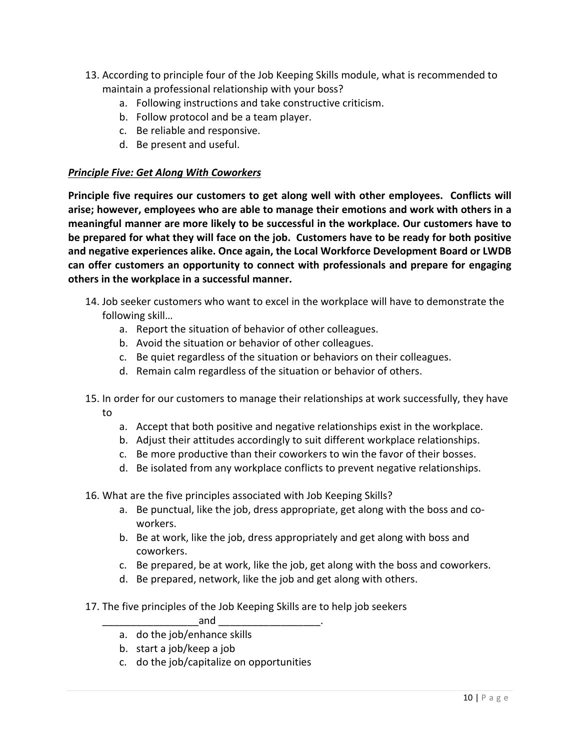- 13. According to principle four of the Job Keeping Skills module, what is recommended to maintain a professional relationship with your boss?
	- a. Following instructions and take constructive criticism.
	- b. Follow protocol and be a team player.
	- c. Be reliable and responsive.
	- d. Be present and useful.

## *Principle Five: Get Along With Coworkers*

**Principle five requires our customers to get along well with other employees. Conflicts will arise; however, employees who are able to manage their emotions and work with others in a meaningful manner are more likely to be successful in the workplace. Our customers have to be prepared for what they will face on the job. Customers have to be ready for both positive and negative experiences alike. Once again, the Local Workforce Development Board or LWDB can offer customers an opportunity to connect with professionals and prepare for engaging others in the workplace in a successful manner.**

- 14. Job seeker customers who want to excel in the workplace will have to demonstrate the following skill…
	- a. Report the situation of behavior of other colleagues.
	- b. Avoid the situation or behavior of other colleagues.
	- c. Be quiet regardless of the situation or behaviors on their colleagues.
	- d. Remain calm regardless of the situation or behavior of others.
- 15. In order for our customers to manage their relationships at work successfully, they have to
	- a. Accept that both positive and negative relationships exist in the workplace.
	- b. Adjust their attitudes accordingly to suit different workplace relationships.
	- c. Be more productive than their coworkers to win the favor of their bosses.
	- d. Be isolated from any workplace conflicts to prevent negative relationships.
- 16. What are the five principles associated with Job Keeping Skills?
	- a. Be punctual, like the job, dress appropriate, get along with the boss and coworkers.
	- b. Be at work, like the job, dress appropriately and get along with boss and coworkers.
	- c. Be prepared, be at work, like the job, get along with the boss and coworkers.
	- d. Be prepared, network, like the job and get along with others.
- 17. The five principles of the Job Keeping Skills are to help job seekers

 $and$ 

- a. do the job/enhance skills
- b. start a job/keep a job
- c. do the job/capitalize on opportunities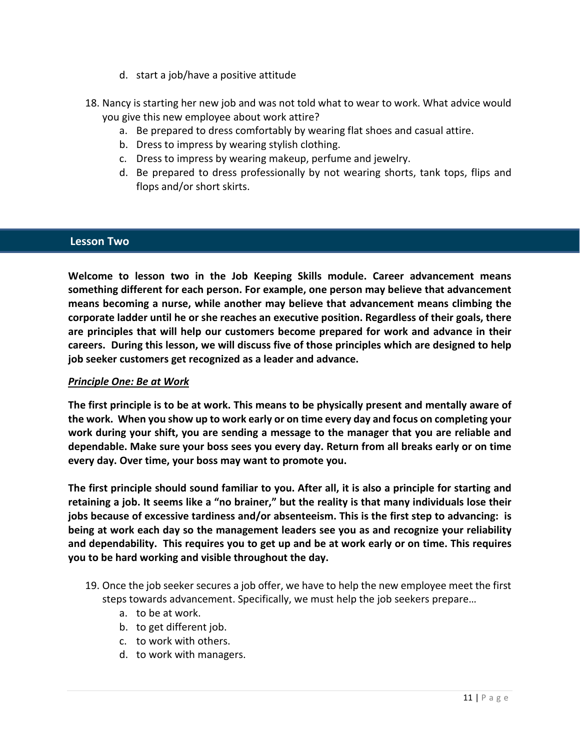- d. start a job/have a positive attitude
- 18. Nancy is starting her new job and was not told what to wear to work. What advice would you give this new employee about work attire?
	- a. Be prepared to dress comfortably by wearing flat shoes and casual attire.
	- b. Dress to impress by wearing stylish clothing.
	- c. Dress to impress by wearing makeup, perfume and jewelry.
	- d. Be prepared to dress professionally by not wearing shorts, tank tops, flips and flops and/or short skirts.

## **Lesson Two**

**Welcome to lesson two in the Job Keeping Skills module. Career advancement means something different for each person. For example, one person may believe that advancement means becoming a nurse, while another may believe that advancement means climbing the corporate ladder until he or she reaches an executive position. Regardless of their goals, there are principles that will help our customers become prepared for work and advance in their careers. During this lesson, we will discuss five of those principles which are designed to help job seeker customers get recognized as a leader and advance.**

## *Principle One: Be at Work*

**The first principle is to be at work. This means to be physically present and mentally aware of the work. When you show up to work early or on time every day and focus on completing your work during your shift, you are sending a message to the manager that you are reliable and dependable. Make sure your boss sees you every day. Return from all breaks early or on time every day. Over time, your boss may want to promote you.**

**The first principle should sound familiar to you. After all, it is also a principle for starting and retaining a job. It seems like a "no brainer," but the reality is that many individuals lose their jobs because of excessive tardiness and/or absenteeism. This is the first step to advancing: is being at work each day so the management leaders see you as and recognize your reliability and dependability. This requires you to get up and be at work early or on time. This requires you to be hard working and visible throughout the day.** 

- 19. Once the job seeker secures a job offer, we have to help the new employee meet the first steps towards advancement. Specifically, we must help the job seekers prepare…
	- a. to be at work.
	- b. to get different job.
	- c. to work with others.
	- d. to work with managers.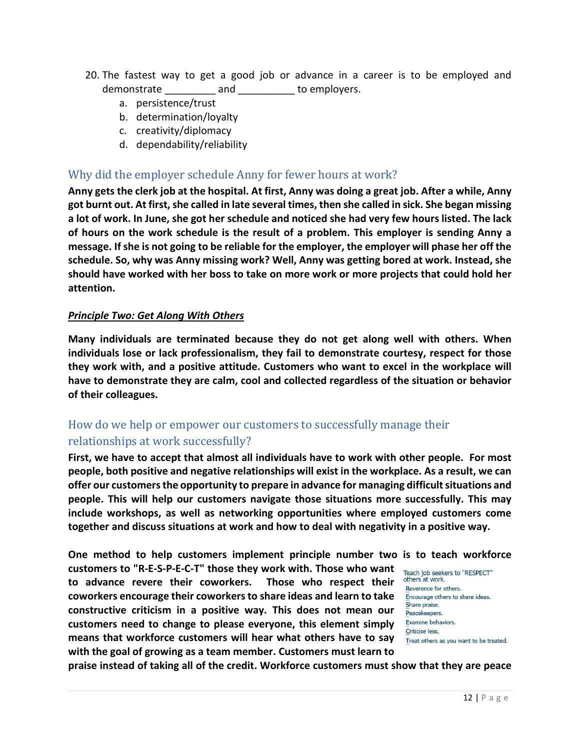- 20. The fastest way to get a good job or advance in a career is to be employed and demonstrate and to employers.
	- a. persistence/trust
	- b. determination/loyalty
	- c. creativity/diplomacy
	- d. dependability/reliability

# Why did the employer schedule Anny for fewer hours at work?

**Anny gets the clerk job at the hospital. At first, Anny was doing a great job. After a while, Anny**  got burnt out. At first, she called in late several times, then she called in sick. She began missing **a lot of work. In June, she got her schedule and noticed she had very few hours listed. The lack of hours on the work schedule is the result of a problem. This employer is sending Anny a message. If she is not going to be reliable for the employer, the employer will phase her off the schedule. So, why was Anny missing work? Well, Anny was getting bored at work. Instead, she should have worked with her boss to take on more work or more projects that could hold her attention.** 

#### *Principle Two: Get Along With Others*

**Many individuals are terminated because they do not get along well with others. When individuals lose or lack professionalism, they fail to demonstrate courtesy, respect for those they work with, and a positive attitude. Customers who want to excel in the workplace will have to demonstrate they are calm, cool and collected regardless of the situation or behavior of their colleagues.** 

# How do we help or empower our customers to successfully manage their relationships at work successfully?

**First, we have to accept that almost all individuals have to work with other people. For most people, both positive and negative relationships will exist in the workplace. As a result, we can offer our customers the opportunity to prepare in advance for managing difficult situations and people. This will help our customers navigate those situations more successfully. This may include workshops, as well as networking opportunities where employed customers come together and discuss situations at work and how to deal with negativity in a positive way.**

**One method to help customers implement principle number two is to teach workforce customers to "R-E-S-P-E-C-T" those they work with. Those who want to advance revere their coworkers.** Reverence for others. **coworkers encourage their coworkersto share ideas and learn to take**  Share praise. **constructive criticism in a positive way. This does not mean our customers need to change to please everyone, this element simply**  Examine behaviors. Criticise less. **means that workforce customers will hear what others have to say with the goal of growing as a team member. Customers must learn to** 

**praise instead of taking all of the credit. Workforce customers must show that they are peace**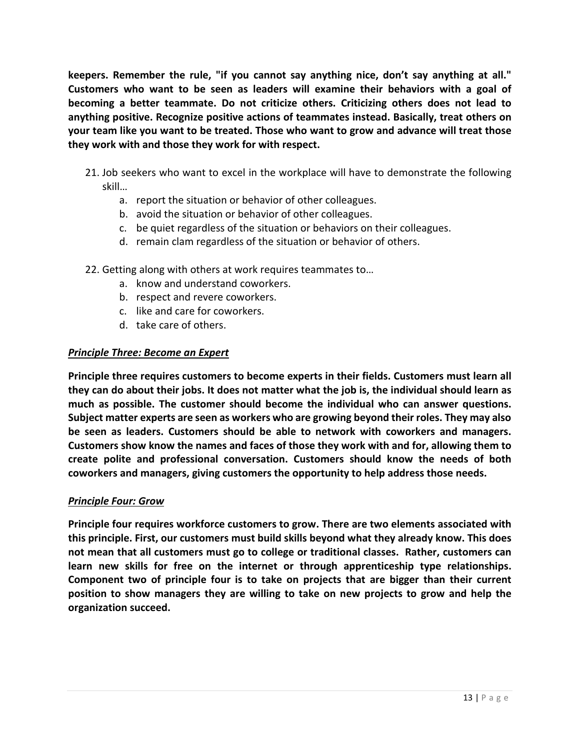**keepers. Remember the rule, "if you cannot say anything nice, don't say anything at all." Customers who want to be seen as leaders will examine their behaviors with a goal of becoming a better teammate. Do not criticize others. Criticizing others does not lead to anything positive. Recognize positive actions of teammates instead. Basically, treat others on your team like you want to be treated. Those who want to grow and advance will treat those they work with and those they work for with respect.** 

- 21. Job seekers who want to excel in the workplace will have to demonstrate the following skill…
	- a. report the situation or behavior of other colleagues.
	- b. avoid the situation or behavior of other colleagues.
	- c. be quiet regardless of the situation or behaviors on their colleagues.
	- d. remain clam regardless of the situation or behavior of others.
- 22. Getting along with others at work requires teammates to…
	- a. know and understand coworkers.
	- b. respect and revere coworkers.
	- c. like and care for coworkers.
	- d. take care of others.

#### *Principle Three: Become an Expert*

**Principle three requires customers to become experts in their fields. Customers must learn all they can do about their jobs. It does not matter what the job is, the individual should learn as much as possible. The customer should become the individual who can answer questions. Subject matter experts are seen as workers who are growing beyond their roles. They may also be seen as leaders. Customers should be able to network with coworkers and managers. Customers show know the names and faces of those they work with and for, allowing them to create polite and professional conversation. Customers should know the needs of both coworkers and managers, giving customers the opportunity to help address those needs.** 

## *Principle Four: Grow*

**Principle four requires workforce customers to grow. There are two elements associated with this principle. First, our customers must build skills beyond what they already know. This does not mean that all customers must go to college or traditional classes. Rather, customers can learn new skills for free on the internet or through apprenticeship type relationships. Component two of principle four is to take on projects that are bigger than their current position to show managers they are willing to take on new projects to grow and help the organization succeed.**